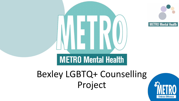



## Bexley LGBTQ+ Counselling Project

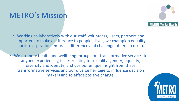## METRO's Mission



- Working collaboratively with our staff, volunteers, users, partners and supporters to make a difference to people's lives, we champion equality, nurture aspiration, embrace difference and challenge others to do so.
- We promote health and wellbeing through our transformative services to anyone experiencing issues relating to sexuality, gender, equality, diversity and identity, and use our unique insight from these transformative services and our diverse heritage to influence decision makers and to effect positive change.

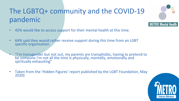## The LGBTQ+ community and the COVID-19 pandemic

- 42% would like to access support for their mental health at this time.
- 64% said they would rather receive support during this time from an LGBT specific organisation.
- "I'm transgender but not out, my parents are transphobic, having to pretend to be someone I'm not all the time is physically, mentally, emotionally and spiritually exhausting"
- Taken from the 'Hidden Figures' report published by the LGBT Foundation, May 2020)



METRO Mental Health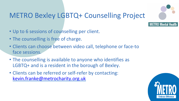

## METRO Bexley LGBTQ+ Counselling Project

- Up to 6 sessions of counselling per client.
- The counselling is free of charge.
- Clients can choose between video call, telephone or face-to face sessions.
- The counselling is available to anyone who identifies as LGBTQ+ and is a resident in the borough of Bexley.
- Clients can be referred or self-refer by contacting: [kevin.franke@metrocharity.org.uk](mailto:kevin.franke@metrocharity.org.uk)